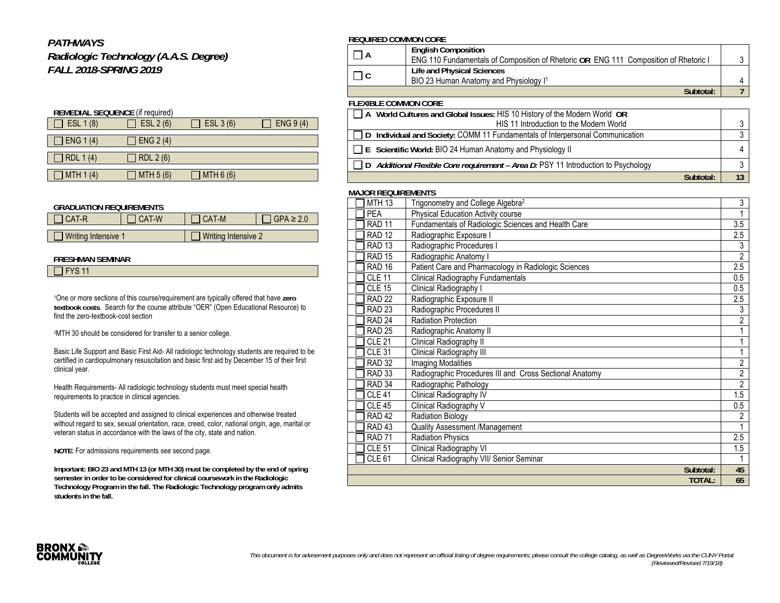# *PATHWAYS*

*Radiologic Technology (A.A.S. Degree) FALL 2018-SPRING 2019*

| <b>REMEDIAL SEQUENCE (if required)</b> |                  |            |           |  |
|----------------------------------------|------------------|------------|-----------|--|
| ESL 1 (8)                              | ESL 2 (6)        | ESL 3 (6)  | ENG 9 (4) |  |
| ENG $1(4)$                             | ENG $2(4)$       |            |           |  |
|                                        |                  |            |           |  |
| RDL 1 (4)                              | <b>RDL 2 (6)</b> |            |           |  |
| MTH $1(4)$                             |                  |            |           |  |
|                                        | MTH 5 (6)        | MTH $6(6)$ |           |  |

## **GRADUATION REQUIREMENTS**

| I CAT-R             | CAT-W | CAT-M               | $GPA \geq 2.0$ |
|---------------------|-------|---------------------|----------------|
|                     |       |                     |                |
| Writing Intensive 1 |       | Writing Intensive 2 |                |

## **FRESHMAN SEMINAR**

|  | $\Box$ FYS 11 |  |
|--|---------------|--|
|--|---------------|--|

1One or more sections of this course/requirement are typically offered that have **zero textbook costs**. Search for the course attribute "OER" (Open Educational Resource) to find the zero-textbook-cost section

2MTH 30 should be considered for transfer to a senior college.

Basic Life Support and Basic First Aid- All radiologic technology students are required to be certified in cardiopulmonary resuscitation and basic first aid by December 15 of their first clinical year.

Health Requirements- All radiologic technology students must meet special health requirements to practice in clinical agencies.

Students will be accepted and assigned to clinical experiences and otherwise treated without regard to sex, sexual orientation, race, creed, color, national origin, age, marital or veteran status in accordance with the laws of the city, state and nation.

**NOTE**: For admissions requirements see second page.

**Important: BIO 23 and MTH 13 (or MTH 30) must be completed by the end of spring semester in order to be considered for clinical coursework in the Radiologic Technology Program in the fall. The Radiologic Technology program only admits students in the fall.** 

# **REQUIRED COMMON CORE**

|                                                                           | <b>English Composition</b>                                                           |  |  |
|---------------------------------------------------------------------------|--------------------------------------------------------------------------------------|--|--|
|                                                                           | ENG 110 Fundamentals of Composition of Rhetoric OR ENG 111 Composition of Rhetoric I |  |  |
|                                                                           | Life and Physical Sciences                                                           |  |  |
| . IC                                                                      | BIO 23 Human Anatomy and Physiology I <sup>1</sup>                                   |  |  |
|                                                                           | Subtotal:                                                                            |  |  |
| <b>FLEXIBLE COMMON CORE</b>                                               |                                                                                      |  |  |
| A World Cultures and Global Issues: HIS 10 History of the Modern World OR |                                                                                      |  |  |
|                                                                           | HIS 11 Introduction to the Modern World                                              |  |  |

| □ D Individual and Society: COMM 11 Fundamentals of Interpersonal Communication           |    |
|-------------------------------------------------------------------------------------------|----|
| $\Box$ E Scientific World: BIO 24 Human Anatomy and Physiology II                         |    |
| $\Box$ D Additional Flexible Core requirement – Area D: PSY 11 Introduction to Psychology |    |
| Subtotal:                                                                                 | 13 |

## **MAJOR REQUIREMENTS**

| <b>MTH 13</b>     | Trigonometry and College Algebra <sup>2</sup>           | $\overline{3}$ |
|-------------------|---------------------------------------------------------|----------------|
| <b>PEA</b>        | <b>Physical Education Activity course</b>               | 1              |
| <b>RAD 11</b>     | Fundamentals of Radiologic Sciences and Health Care     | 3.5            |
| <b>RAD 12</b>     | Radiographic Exposure I                                 | 2.5            |
| <b>RAD 13</b>     | Radiographic Procedures I                               | 3              |
| <b>RAD 15</b>     | Radiographic Anatomy I                                  | $\overline{2}$ |
| RAD <sub>16</sub> | Patient Care and Pharmacology in Radiologic Sciences    | 2.5            |
| <b>CLE 11</b>     | Clinical Radiography Fundamentals                       | 0.5            |
| $CLE$ 15          | Clinical Radiography I                                  | 0.5            |
| <b>RAD 22</b>     | Radiographic Exposure II                                | 2.5            |
| <b>RAD 23</b>     | Radiographic Procedures II                              | 3              |
| <b>RAD 24</b>     | <b>Radiation Protection</b>                             | $\overline{2}$ |
| <b>RAD 25</b>     | Radiographic Anatomy II                                 | 1              |
| <b>CLE 21</b>     | Clinical Radiography II                                 | 1              |
| <b>CLE 31</b>     | Clinical Radiography III                                |                |
| <b>RAD 32</b>     | <b>Imaging Modalities</b>                               | $\overline{2}$ |
| <b>RAD 33</b>     | Radiographic Procedures III and Cross Sectional Anatomy | $\overline{2}$ |
| RAD <sub>34</sub> | Radiographic Pathology                                  | $\overline{2}$ |
| <b>CLE 41</b>     | Clinical Radiography IV                                 | 1.5            |
| <b>CLE 45</b>     | Clinical Radiography V                                  | 0.5            |
| <b>RAD 42</b>     | <b>Radiation Biology</b>                                | $\overline{2}$ |
| <b>RAD 43</b>     | Quality Assessment /Management                          | 1              |
| <b>RAD 71</b>     | <b>Radiation Physics</b>                                | 2.5            |
| <b>CLE 51</b>     | Clinical Radiography VI                                 | 1.5            |
| CLE <sub>61</sub> | Clinical Radiography VII/ Senior Seminar                |                |
|                   | Subtotal:                                               | 45             |
|                   | TOTAL:                                                  | 65             |